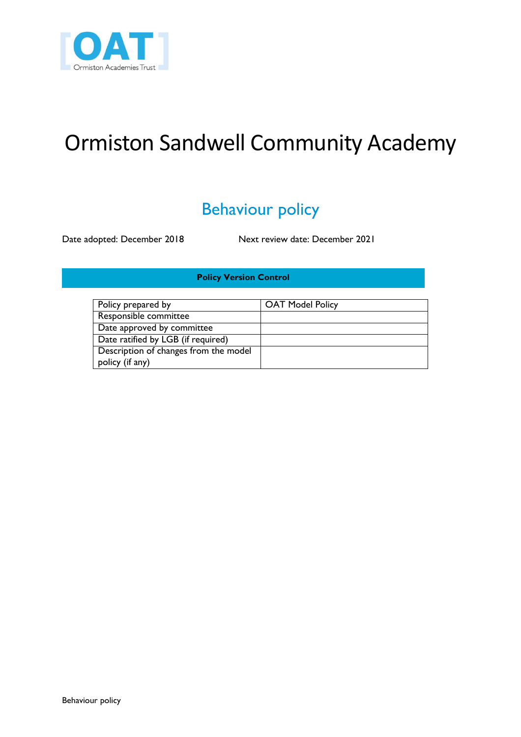

# Ormiston Sandwell Community Academy

## Behaviour policy

Date adopted: December 2018 Next review date: December 2021

### **Policy Version Control**

| Policy prepared by                    | <b>OAT Model Policy</b> |
|---------------------------------------|-------------------------|
| Responsible committee                 |                         |
| Date approved by committee            |                         |
| Date ratified by LGB (if required)    |                         |
| Description of changes from the model |                         |
| policy (if any)                       |                         |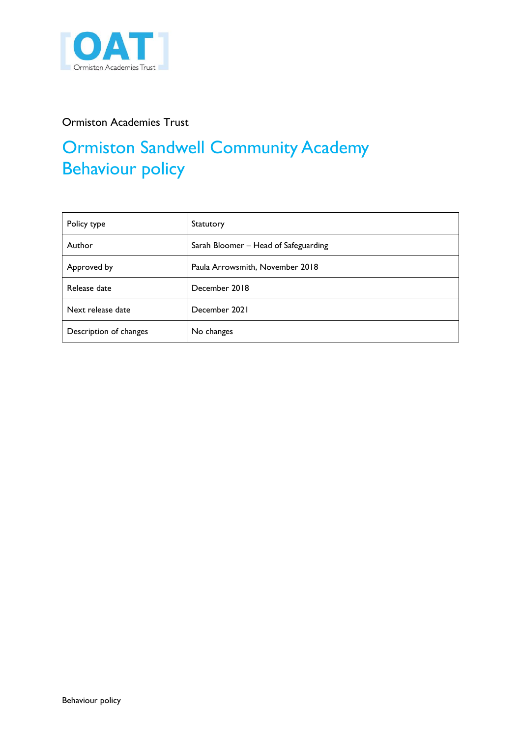

### Ormiston Academies Trust

## Ormiston Sandwell Community Academy Behaviour policy

| Policy type            | Statutory                            |
|------------------------|--------------------------------------|
| Author                 | Sarah Bloomer - Head of Safeguarding |
| Approved by            | Paula Arrowsmith, November 2018      |
| Release date           | December 2018                        |
| Next release date      | December 2021                        |
| Description of changes | No changes                           |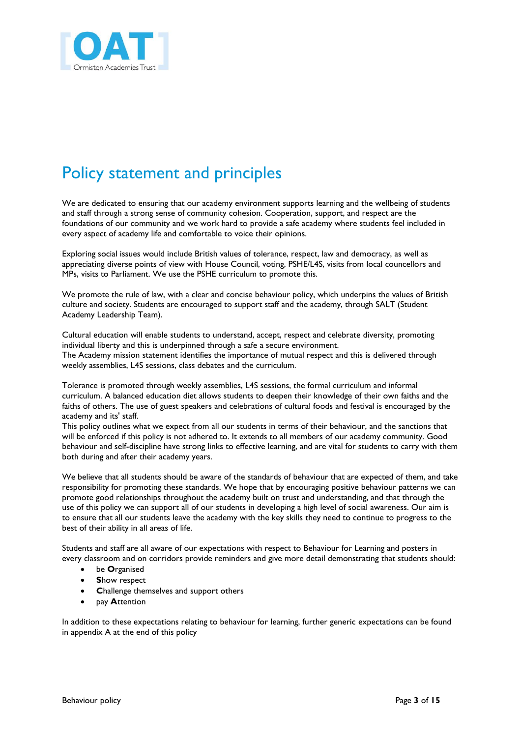

## Policy statement and principles

We are dedicated to ensuring that our academy environment supports learning and the wellbeing of students and staff through a strong sense of community cohesion. Cooperation, support, and respect are the foundations of our community and we work hard to provide a safe academy where students feel included in every aspect of academy life and comfortable to voice their opinions.

Exploring social issues would include British values of tolerance, respect, law and democracy, as well as appreciating diverse points of view with House Council, voting, PSHE/L4S, visits from local councellors and MPs, visits to Parliament. We use the PSHE curriculum to promote this.

We promote the rule of law, with a clear and concise behaviour policy, which underpins the values of British culture and society. Students are encouraged to support staff and the academy, through SALT (Student Academy Leadership Team).

Cultural education will enable students to understand, accept, respect and celebrate diversity, promoting individual liberty and this is underpinned through a safe a secure environment. The Academy mission statement identifies the importance of mutual respect and this is delivered through weekly assemblies, L4S sessions, class debates and the curriculum.

Tolerance is promoted through weekly assemblies, L4S sessions, the formal curriculum and informal curriculum. A balanced education diet allows students to deepen their knowledge of their own faiths and the faiths of others. The use of guest speakers and celebrations of cultural foods and festival is encouraged by the academy and its' staff.

This policy outlines what we expect from all our students in terms of their behaviour, and the sanctions that will be enforced if this policy is not adhered to. It extends to all members of our academy community. Good behaviour and self-discipline have strong links to effective learning, and are vital for students to carry with them both during and after their academy years.

We believe that all students should be aware of the standards of behaviour that are expected of them, and take responsibility for promoting these standards. We hope that by encouraging positive behaviour patterns we can promote good relationships throughout the academy built on trust and understanding, and that through the use of this policy we can support all of our students in developing a high level of social awareness. Our aim is to ensure that all our students leave the academy with the key skills they need to continue to progress to the best of their ability in all areas of life.

Students and staff are all aware of our expectations with respect to Behaviour for Learning and posters in every classroom and on corridors provide reminders and give more detail demonstrating that students should:

- be **O**rganised
- **S**how respect
- **C**hallenge themselves and support others
- pay **A**ttention

In addition to these expectations relating to behaviour for learning, further generic expectations can be found in appendix A at the end of this policy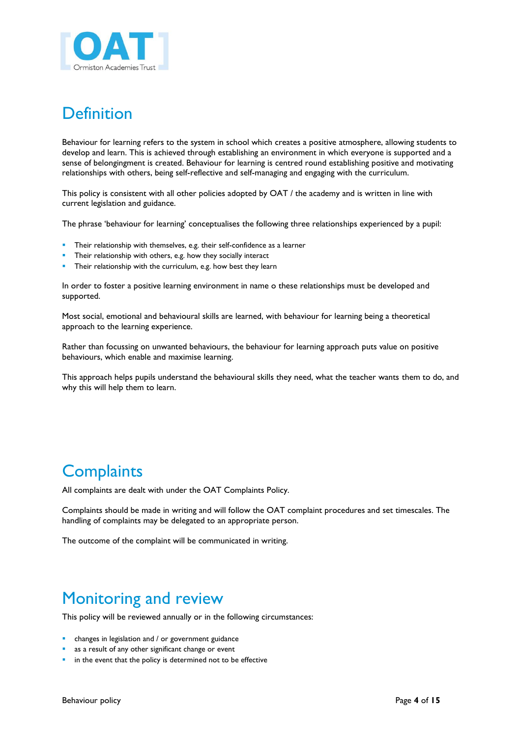

## **Definition**

Behaviour for learning refers to the system in school which creates a positive atmosphere, allowing students to develop and learn. This is achieved through establishing an environment in which everyone is supported and a sense of belongingment is created. Behaviour for learning is centred round establishing positive and motivating relationships with others, being self-reflective and self-managing and engaging with the curriculum.

This policy is consistent with all other policies adopted by OAT / the academy and is written in line with current legislation and guidance.

The phrase 'behaviour for learning' conceptualises the following three relationships experienced by a pupil:

- Their relationship with themselves, e.g. their self-confidence as a learner
- Their relationship with others, e.g. how they socially interact
- Their relationship with the curriculum, e.g. how best they learn

In order to foster a positive learning environment in name o these relationships must be developed and supported.

Most social, emotional and behavioural skills are learned, with behaviour for learning being a theoretical approach to the learning experience.

Rather than focussing on unwanted behaviours, the behaviour for learning approach puts value on positive behaviours, which enable and maximise learning.

This approach helps pupils understand the behavioural skills they need, what the teacher wants them to do, and why this will help them to learn.

### **Complaints**

All complaints are dealt with under the OAT Complaints Policy.

Complaints should be made in writing and will follow the OAT complaint procedures and set timescales. The handling of complaints may be delegated to an appropriate person.

The outcome of the complaint will be communicated in writing.

### Monitoring and review

This policy will be reviewed annually or in the following circumstances:

- **EXEC** changes in legislation and / or government guidance
- as a result of any other significant change or event
- **i** in the event that the policy is determined not to be effective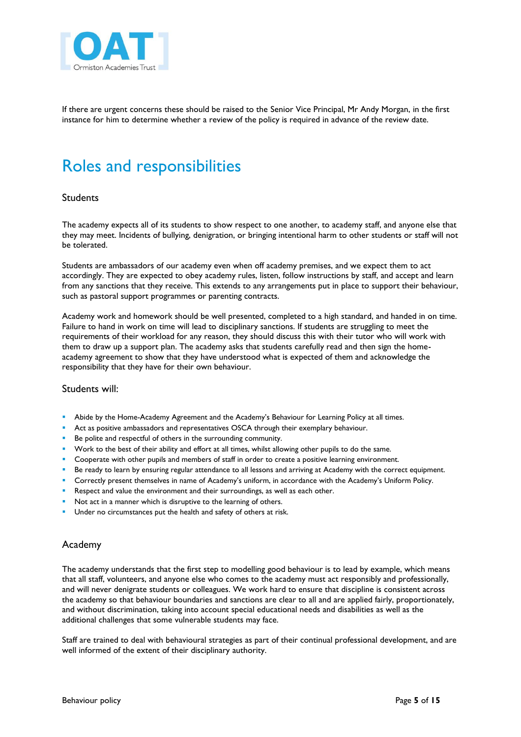

If there are urgent concerns these should be raised to the Senior Vice Principal, Mr Andy Morgan, in the first instance for him to determine whether a review of the policy is required in advance of the review date.

## Roles and responsibilities

### Students

The academy expects all of its students to show respect to one another, to academy staff, and anyone else that they may meet. Incidents of bullying, denigration, or bringing intentional harm to other students or staff will not be tolerated.

Students are ambassadors of our academy even when off academy premises, and we expect them to act accordingly. They are expected to obey academy rules, listen, follow instructions by staff, and accept and learn from any sanctions that they receive. This extends to any arrangements put in place to support their behaviour, such as pastoral support programmes or parenting contracts.

Academy work and homework should be well presented, completed to a high standard, and handed in on time. Failure to hand in work on time will lead to disciplinary sanctions. If students are struggling to meet the requirements of their workload for any reason, they should discuss this with their tutor who will work with them to draw up a support plan. The academy asks that students carefully read and then sign the homeacademy agreement to show that they have understood what is expected of them and acknowledge the responsibility that they have for their own behaviour.

#### Students will:

- Abide by the Home-Academy Agreement and the Academy's Behaviour for Learning Policy at all times.
- Act as positive ambassadors and representatives OSCA through their exemplary behaviour.
- Be polite and respectful of others in the surrounding community.
- **Work to the best of their ability and effort at all times, whilst allowing other pupils to do the same.**
- **Cooperate with other pupils and members of staff in order to create a positive learning environment.**
- Be ready to learn by ensuring regular attendance to all lessons and arriving at Academy with the correct equipment.
- Correctly present themselves in name of Academy's uniform, in accordance with the Academy's Uniform Policy.
- Respect and value the environment and their surroundings, as well as each other.
- Not act in a manner which is disruptive to the learning of others.
- **Under no circumstances put the health and safety of others at risk.**

#### Academy

The academy understands that the first step to modelling good behaviour is to lead by example, which means that all staff, volunteers, and anyone else who comes to the academy must act responsibly and professionally, and will never denigrate students or colleagues. We work hard to ensure that discipline is consistent across the academy so that behaviour boundaries and sanctions are clear to all and are applied fairly, proportionately, and without discrimination, taking into account special educational needs and disabilities as well as the additional challenges that some vulnerable students may face.

Staff are trained to deal with behavioural strategies as part of their continual professional development, and are well informed of the extent of their disciplinary authority.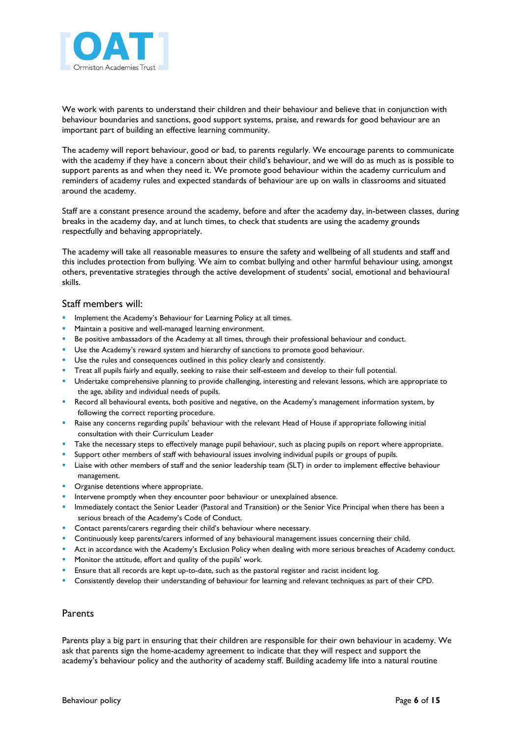

We work with parents to understand their children and their behaviour and believe that in conjunction with behaviour boundaries and sanctions, good support systems, praise, and rewards for good behaviour are an important part of building an effective learning community.

The academy will report behaviour, good or bad, to parents regularly. We encourage parents to communicate with the academy if they have a concern about their child's behaviour, and we will do as much as is possible to support parents as and when they need it. We promote good behaviour within the academy curriculum and reminders of academy rules and expected standards of behaviour are up on walls in classrooms and situated around the academy.

Staff are a constant presence around the academy, before and after the academy day, in-between classes, during breaks in the academy day, and at lunch times, to check that students are using the academy grounds respectfully and behaving appropriately.

The academy will take all reasonable measures to ensure the safety and wellbeing of all students and staff and this includes protection from bullying. We aim to combat bullying and other harmful behaviour using, amongst others, preventative strategies through the active development of students' social, emotional and behavioural skills.

#### Staff members will:

- Implement the Academy's Behaviour for Learning Policy at all times.
- Maintain a positive and well-managed learning environment.
- Be positive ambassadors of the Academy at all times, through their professional behaviour and conduct.
- **Use the Academy's reward system and hierarchy of sanctions to promote good behaviour.**
- **Use the rules and consequences outlined in this policy clearly and consistently.**
- Treat all pupils fairly and equally, seeking to raise their self-esteem and develop to their full potential.
- Undertake comprehensive planning to provide challenging, interesting and relevant lessons, which are appropriate to the age, ability and individual needs of pupils.
- Record all behavioural events, both positive and negative, on the Academy's management information system, by following the correct reporting procedure.
- Raise any concerns regarding pupils' behaviour with the relevant Head of House if appropriate following initial consultation with their Curriculum Leader
- Take the necessary steps to effectively manage pupil behaviour, such as placing pupils on report where appropriate.
- Support other members of staff with behavioural issues involving individual pupils or groups of pupils.
- Liaise with other members of staff and the senior leadership team (SLT) in order to implement effective behaviour management.
- Organise detentions where appropriate.
- Intervene promptly when they encounter poor behaviour or unexplained absence.
- **Immediately contact the Senior Leader (Pastoral and Transition) or the Senior Vice Principal when there has been a** serious breach of the Academy's Code of Conduct.
- **Contact parents/carers regarding their child's behaviour where necessary.**
- Continuously keep parents/carers informed of any behavioural management issues concerning their child.
- Act in accordance with the Academy's Exclusion Policy when dealing with more serious breaches of Academy conduct.
- **Monitor the attitude, effort and quality of the pupils' work.**
- Ensure that all records are kept up-to-date, such as the pastoral register and racist incident log.
- Consistently develop their understanding of behaviour for learning and relevant techniques as part of their CPD.

#### **Parents**

Parents play a big part in ensuring that their children are responsible for their own behaviour in academy. We ask that parents sign the home-academy agreement to indicate that they will respect and support the academy's behaviour policy and the authority of academy staff. Building academy life into a natural routine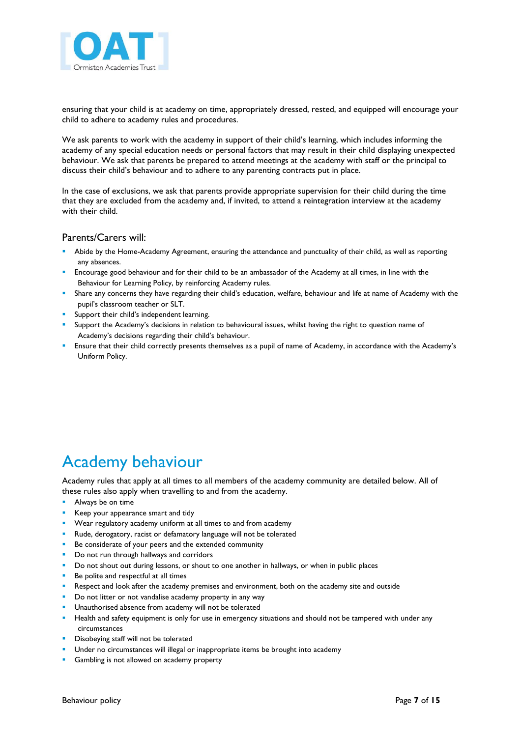

ensuring that your child is at academy on time, appropriately dressed, rested, and equipped will encourage your child to adhere to academy rules and procedures.

We ask parents to work with the academy in support of their child's learning, which includes informing the academy of any special education needs or personal factors that may result in their child displaying unexpected behaviour. We ask that parents be prepared to attend meetings at the academy with staff or the principal to discuss their child's behaviour and to adhere to any parenting contracts put in place.

In the case of exclusions, we ask that parents provide appropriate supervision for their child during the time that they are excluded from the academy and, if invited, to attend a reintegration interview at the academy with their child.

#### Parents/Carers will:

- Abide by the Home-Academy Agreement, ensuring the attendance and punctuality of their child, as well as reporting any absences.
- Encourage good behaviour and for their child to be an ambassador of the Academy at all times, in line with the Behaviour for Learning Policy, by reinforcing Academy rules.
- Share any concerns they have regarding their child's education, welfare, behaviour and life at name of Academy with the pupil's classroom teacher or SLT.
- Support their child's independent learning.
- Support the Academy's decisions in relation to behavioural issues, whilst having the right to question name of Academy's decisions regarding their child's behaviour.
- Ensure that their child correctly presents themselves as a pupil of name of Academy, in accordance with the Academy's Uniform Policy.

### Academy behaviour

Academy rules that apply at all times to all members of the academy community are detailed below. All of these rules also apply when travelling to and from the academy.

- Always be on time
- Keep your appearance smart and tidy
- Wear regulatory academy uniform at all times to and from academy
- Rude, derogatory, racist or defamatory language will not be tolerated
- Be considerate of your peers and the extended community
- Do not run through hallways and corridors
- Do not shout out during lessons, or shout to one another in hallways, or when in public places
- Be polite and respectful at all times
- **Respect and look after the academy premises and environment, both on the academy site and outside**
- Do not litter or not vandalise academy property in any way
- Unauthorised absence from academy will not be tolerated
- Health and safety equipment is only for use in emergency situations and should not be tampered with under any circumstances
- **Disobeying staff will not be tolerated**
- **Under no circumstances will illegal or inappropriate items be brought into academy**
- Gambling is not allowed on academy property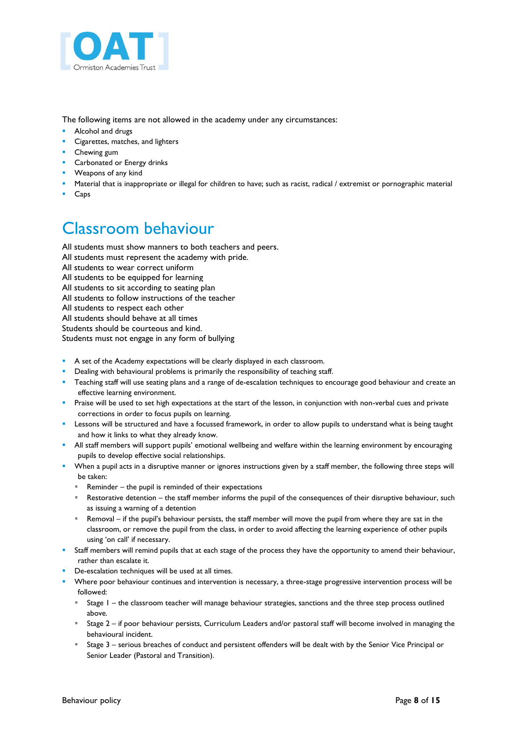

The following items are not allowed in the academy under any circumstances:

- **Alcohol and drugs**
- Cigarettes, matches, and lighters
- **Chewing gum**
- **Carbonated or Energy drinks**
- **Weapons of any kind**
- Material that is inappropriate or illegal for children to have; such as racist, radical / extremist or pornographic material
- **Caps**

## Classroom behaviour

All students must show manners to both teachers and peers. All students must represent the academy with pride. All students to wear correct uniform All students to be equipped for learning All students to sit according to seating plan All students to follow instructions of the teacher All students to respect each other All students should behave at all times Students should be courteous and kind. Students must not engage in any form of bullying

- A set of the Academy expectations will be clearly displayed in each classroom.
- **Dealing with behavioural problems is primarily the responsibility of teaching staff.**
- **Teaching staff will use seating plans and a range of de-escalation techniques to encourage good behaviour and create an** effective learning environment.
- Praise will be used to set high expectations at the start of the lesson, in conjunction with non-verbal cues and private corrections in order to focus pupils on learning.
- **Lessons will be structured and have a focussed framework, in order to allow pupils to understand what is being taught** and how it links to what they already know.
- All staff members will support pupils' emotional wellbeing and welfare within the learning environment by encouraging pupils to develop effective social relationships.
- When a pupil acts in a disruptive manner or ignores instructions given by a staff member, the following three steps will be taken:
	- Reminder the pupil is reminded of their expectations
	- Restorative detention the staff member informs the pupil of the consequences of their disruptive behaviour, such as issuing a warning of a detention
	- Removal if the pupil's behaviour persists, the staff member will move the pupil from where they are sat in the classroom, or remove the pupil from the class, in order to avoid affecting the learning experience of other pupils using 'on call' if necessary.
- Staff members will remind pupils that at each stage of the process they have the opportunity to amend their behaviour, rather than escalate it.
- **De-escalation techniques will be used at all times.**
- Where poor behaviour continues and intervention is necessary, a three-stage progressive intervention process will be followed:
	- Stage 1 the classroom teacher will manage behaviour strategies, sanctions and the three step process outlined above.
	- Stage 2 if poor behaviour persists, Curriculum Leaders and/or pastoral staff will become involved in managing the behavioural incident.
	- Stage 3 serious breaches of conduct and persistent offenders will be dealt with by the Senior Vice Principal or Senior Leader (Pastoral and Transition).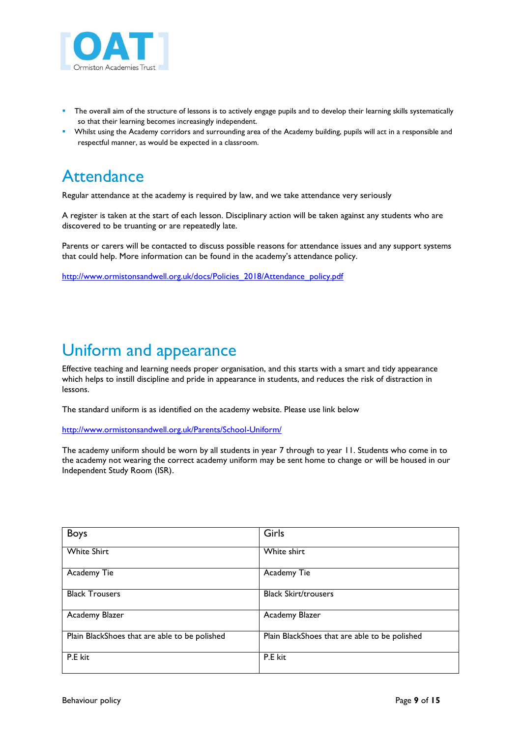

- The overall aim of the structure of lessons is to actively engage pupils and to develop their learning skills systematically so that their learning becomes increasingly independent.
- Whilst using the Academy corridors and surrounding area of the Academy building, pupils will act in a responsible and respectful manner, as would be expected in a classroom.

### **Attendance**

Regular attendance at the academy is required by law, and we take attendance very seriously

A register is taken at the start of each lesson. Disciplinary action will be taken against any students who are discovered to be truanting or are repeatedly late.

Parents or carers will be contacted to discuss possible reasons for attendance issues and any support systems that could help. More information can be found in the academy's attendance policy.

[http://www.ormistonsandwell.org.uk/docs/Policies\\_2018/Attendance\\_policy.pdf](http://www.ormistonsandwell.org.uk/docs/Policies_2018/Attendance_policy.pdf)

## Uniform and appearance

Effective teaching and learning needs proper organisation, and this starts with a smart and tidy appearance which helps to instill discipline and pride in appearance in students, and reduces the risk of distraction in lessons.

The standard uniform is as identified on the academy website. Please use link below

<http://www.ormistonsandwell.org.uk/Parents/School-Uniform/>

The academy uniform should be worn by all students in year 7 through to year 11. Students who come in to the academy not wearing the correct academy uniform may be sent home to change or will be housed in our Independent Study Room (ISR).

| <b>Boys</b>                                   | Girls                                         |
|-----------------------------------------------|-----------------------------------------------|
| <b>White Shirt</b>                            | White shirt                                   |
| Academy Tie                                   | Academy Tie                                   |
| <b>Black Trousers</b>                         | <b>Black Skirt/trousers</b>                   |
| Academy Blazer                                | Academy Blazer                                |
| Plain BlackShoes that are able to be polished | Plain BlackShoes that are able to be polished |
| P.E kit                                       | P.E kit                                       |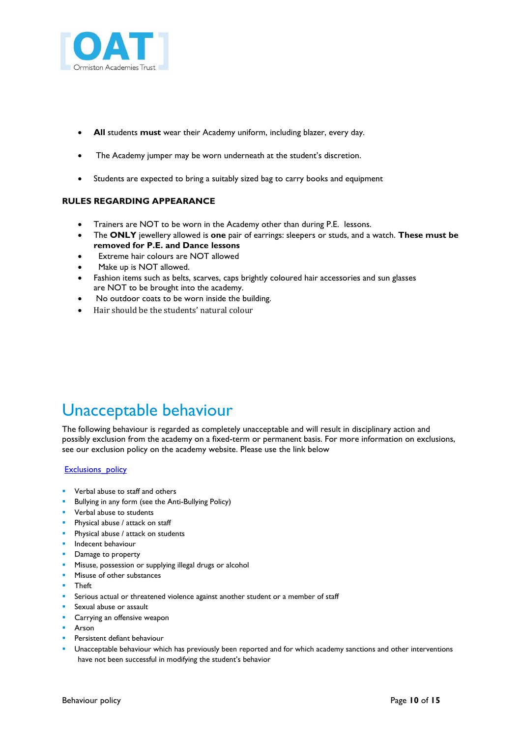

- **All** students **must** wear their Academy uniform, including blazer, every day.
- The Academy jumper may be worn underneath at the student's discretion.
- Students are expected to bring a suitably sized bag to carry books and equipment

#### **RULES REGARDING APPEARANCE**

- Trainers are NOT to be worn in the Academy other than during P.E. lessons.
- The **ONLY** jewellery allowed is **one** pair of earrings: sleepers or studs, and a watch. **These must be removed for P.E. and Dance lessons**
- Extreme hair colours are NOT allowed
- Make up is NOT allowed.
- Fashion items such as belts, scarves, caps brightly coloured hair accessories and sun glasses are NOT to be brought into the academy.
- No outdoor coats to be worn inside the building.
- Hair should be the students' natural colour

## Unacceptable behaviour

The following behaviour is regarded as completely unacceptable and will result in disciplinary action and possibly exclusion from the academy on a fixed-term or permanent basis. For more information on exclusions, see our exclusion policy on the academy website. Please use the link below

#### **Exclusions** policy

- Verbal abuse to staff and others
- **Bullying in any form (see the Anti-Bullying Policy)**
- **value Verbal abuse to students**
- **Physical abuse / attack on staff**
- **Physical abuse / attack on students**
- **Indecent behaviour**
- Damage to property
- Misuse, possession or supplying illegal drugs or alcohol
- Misuse of other substances
- Theft
- **Serious actual or threatened violence against another student or a member of staff**
- **Sexual abuse or assault**
- **Carrying an offensive weapon**
- Arson
- Persistent defiant behaviour
- Unacceptable behaviour which has previously been reported and for which academy sanctions and other interventions have not been successful in modifying the student's behavior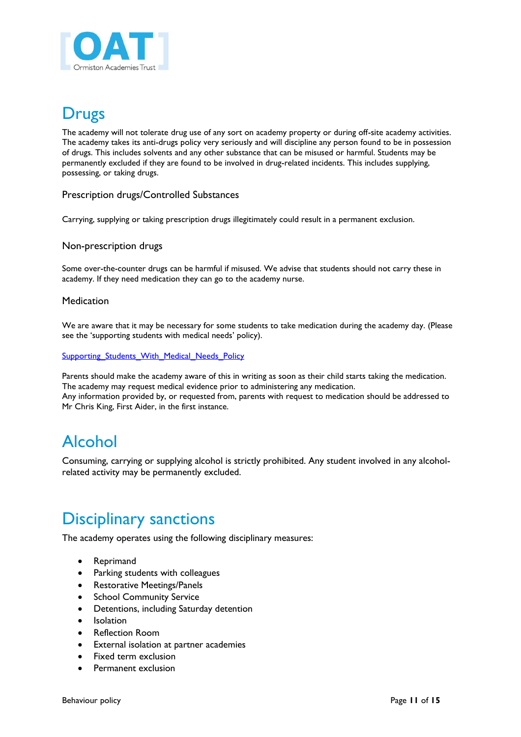

## Drugs

The academy will not tolerate drug use of any sort on academy property or during off-site academy activities. The academy takes its anti-drugs policy very seriously and will discipline any person found to be in possession of drugs. This includes solvents and any other substance that can be misused or harmful. Students may be permanently excluded if they are found to be involved in drug-related incidents. This includes supplying, possessing, or taking drugs.

Prescription drugs/Controlled Substances

Carrying, supplying or taking prescription drugs illegitimately could result in a permanent exclusion.

### Non-prescription drugs

Some over-the-counter drugs can be harmful if misused. We advise that students should not carry these in academy. If they need medication they can go to the academy nurse.

#### **Medication**

We are aware that it may be necessary for some students to take medication during the academy day. (Please see the 'supporting students with medical needs' policy).

Supporting Students\_With\_Medical\_Needs\_Policy

Parents should make the academy aware of this in writing as soon as their child starts taking the medication. The academy may request medical evidence prior to administering any medication. Any information provided by, or requested from, parents with request to medication should be addressed to Mr Chris King, First Aider, in the first instance.

### Alcohol

Consuming, carrying or supplying alcohol is strictly prohibited. Any student involved in any alcoholrelated activity may be permanently excluded.

### Disciplinary sanctions

The academy operates using the following disciplinary measures:

- Reprimand
- Parking students with colleagues
- Restorative Meetings/Panels
- School Community Service
- Detentions, including Saturday detention
- Isolation
- Reflection Room
- External isolation at partner academies
- Fixed term exclusion
- Permanent exclusion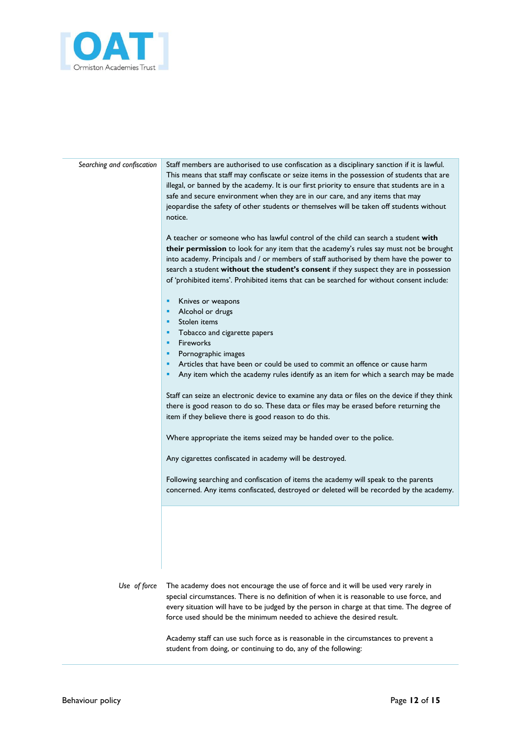

*Searching and confiscation* Staff members are authorised to use confiscation as a disciplinary sanction if it is lawful. This means that staff may confiscate or seize items in the possession of students that are illegal, or banned by the academy. It is our first priority to ensure that students are in a safe and secure environment when they are in our care, and any items that may jeopardise the safety of other students or themselves will be taken off students without notice.

> A teacher or someone who has lawful control of the child can search a student **with their permission** to look for any item that the academy's rules say must not be brought into academy. Principals and / or members of staff authorised by them have the power to search a student **without the student's consent** if they suspect they are in possession of 'prohibited items'. Prohibited items that can be searched for without consent include:

- **Knives or weapons**
- **Alcohol or drugs**
- **Stolen** items
- **Tobacco and cigarette papers**
- **Fireworks**
- **Pornographic images**
- **Articles that have been or could be used to commit an offence or cause harm**
- **Any item which the academy rules identify as an item for which a search may be made**

Staff can seize an electronic device to examine any data or files on the device if they think there is good reason to do so. These data or files may be erased before returning the item if they believe there is good reason to do this.

Where appropriate the items seized may be handed over to the police.

Any cigarettes confiscated in academy will be destroyed.

Following searching and confiscation of items the academy will speak to the parents concerned. Any items confiscated, destroyed or deleted will be recorded by the academy.

*Use of force* The academy does not encourage the use of force and it will be used very rarely in special circumstances. There is no definition of when it is reasonable to use force, and every situation will have to be judged by the person in charge at that time. The degree of force used should be the minimum needed to achieve the desired result.

> Academy staff can use such force as is reasonable in the circumstances to prevent a student from doing, or continuing to do, any of the following: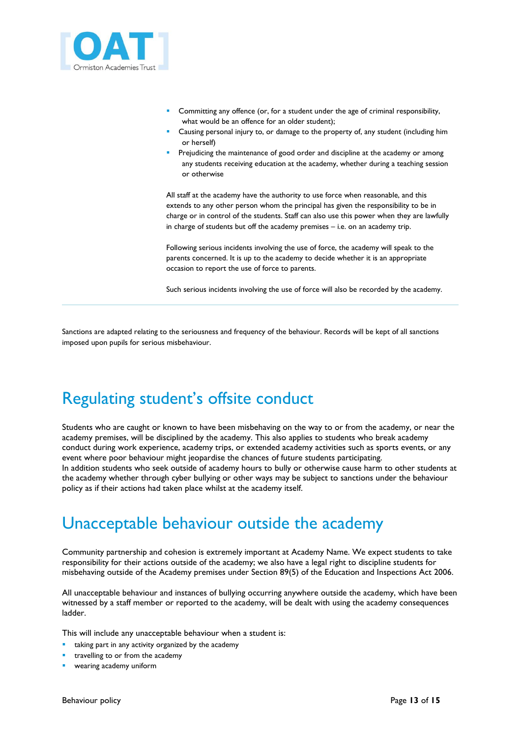

- Committing any offence (or, for a student under the age of criminal responsibility, what would be an offence for an older student);
- Causing personal injury to, or damage to the property of, any student (including him or herself)
- Prejudicing the maintenance of good order and discipline at the academy or among any students receiving education at the academy, whether during a teaching session or otherwise

All staff at the academy have the authority to use force when reasonable, and this extends to any other person whom the principal has given the responsibility to be in charge or in control of the students. Staff can also use this power when they are lawfully in charge of students but off the academy premises – i.e. on an academy trip.

Following serious incidents involving the use of force, the academy will speak to the parents concerned. It is up to the academy to decide whether it is an appropriate occasion to report the use of force to parents.

Such serious incidents involving the use of force will also be recorded by the academy.

Sanctions are adapted relating to the seriousness and frequency of the behaviour. Records will be kept of all sanctions imposed upon pupils for serious misbehaviour.

## Regulating student's offsite conduct

Students who are caught or known to have been misbehaving on the way to or from the academy, or near the academy premises, will be disciplined by the academy. This also applies to students who break academy conduct during work experience, academy trips, or extended academy activities such as sports events, or any event where poor behaviour might jeopardise the chances of future students participating. In addition students who seek outside of academy hours to bully or otherwise cause harm to other students at the academy whether through cyber bullying or other ways may be subject to sanctions under the behaviour policy as if their actions had taken place whilst at the academy itself.

### Unacceptable behaviour outside the academy

Community partnership and cohesion is extremely important at Academy Name. We expect students to take responsibility for their actions outside of the academy; we also have a legal right to discipline students for misbehaving outside of the Academy premises under Section 89(5) of the Education and Inspections Act 2006.

All unacceptable behaviour and instances of bullying occurring anywhere outside the academy, which have been witnessed by a staff member or reported to the academy, will be dealt with using the academy consequences ladder.

This will include any unacceptable behaviour when a student is:

- taking part in any activity organized by the academy
- travelling to or from the academy
- wearing academy uniform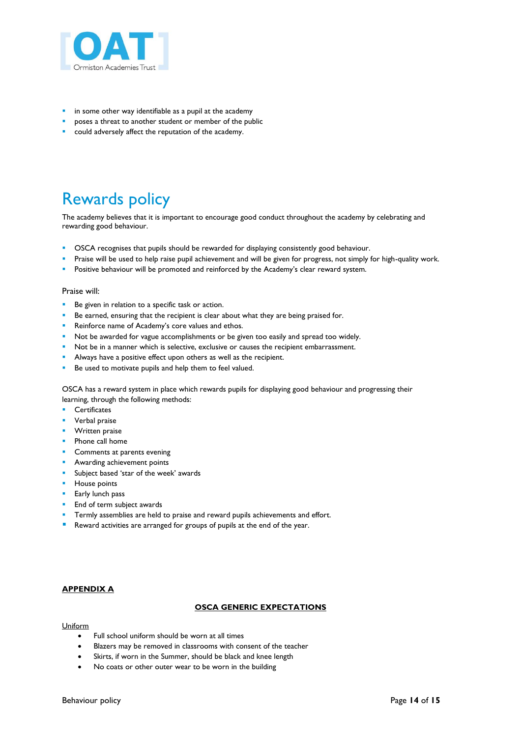

- in some other way identifiable as a pupil at the academy
- poses a threat to another student or member of the public
- could adversely affect the reputation of the academy.

## Rewards policy

The academy believes that it is important to encourage good conduct throughout the academy by celebrating and rewarding good behaviour.

- OSCA recognises that pupils should be rewarded for displaying consistently good behaviour.
- Praise will be used to help raise pupil achievement and will be given for progress, not simply for high-quality work.
- Positive behaviour will be promoted and reinforced by the Academy's clear reward system.

#### Praise will:

- Be given in relation to a specific task or action.
- Be earned, ensuring that the recipient is clear about what they are being praised for.
- Reinforce name of Academy's core values and ethos.
- Not be awarded for vague accomplishments or be given too easily and spread too widely.
- Not be in a manner which is selective, exclusive or causes the recipient embarrassment.
- Always have a positive effect upon others as well as the recipient.
- Be used to motivate pupils and help them to feel valued.

OSCA has a reward system in place which rewards pupils for displaying good behaviour and progressing their learning, through the following methods:

- **Certificates**
- Verbal praise
- **Written praise**
- **Phone call home**
- **Comments at parents evening**
- **Awarding achievement points**
- **Subject based 'star of the week' awards**
- **House points**
- **Early lunch pass**
- **End of term subject awards**
- Termly assemblies are held to praise and reward pupils achievements and effort.
- Reward activities are arranged for groups of pupils at the end of the year.

#### **APPENDIX A**

#### **OSCA GENERIC EXPECTATIONS**

#### **Uniform**

- Full school uniform should be worn at all times
- Blazers may be removed in classrooms with consent of the teacher
- Skirts, if worn in the Summer, should be black and knee length
- No coats or other outer wear to be worn in the building